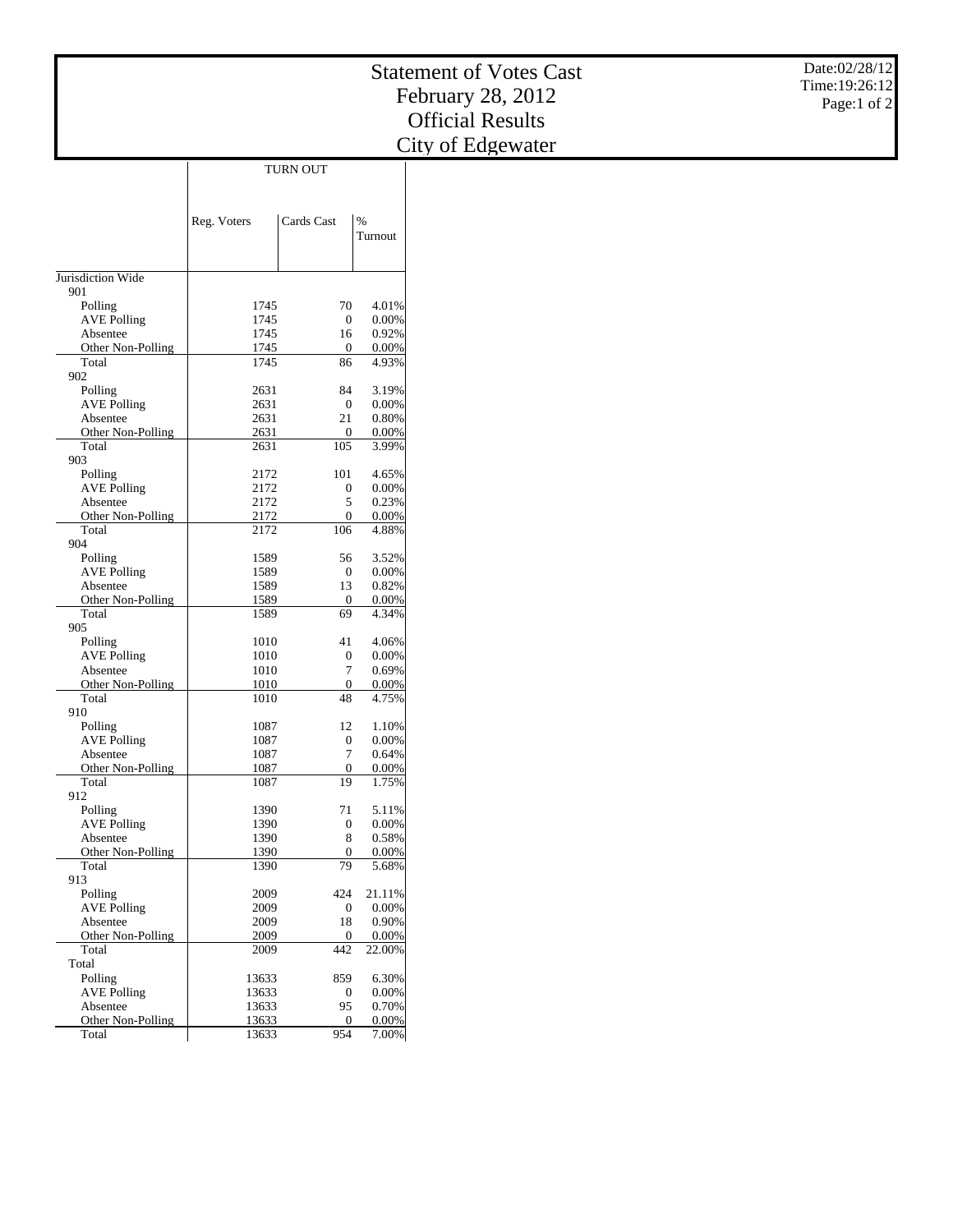|                                | <b>Statement of Votes Cast</b><br>February 28, 2012 | Date:02/28/12<br>Time: 19:26:12<br>Page:1 of 2 |                 |                         |  |
|--------------------------------|-----------------------------------------------------|------------------------------------------------|-----------------|-------------------------|--|
|                                |                                                     |                                                |                 | <b>Official Results</b> |  |
|                                |                                                     |                                                |                 | City of Edgewater       |  |
|                                |                                                     | TURN OUT                                       |                 |                         |  |
|                                |                                                     |                                                |                 |                         |  |
|                                |                                                     |                                                |                 |                         |  |
|                                | Reg. Voters                                         | Cards Cast                                     | $\%$            |                         |  |
|                                |                                                     |                                                | Turnout         |                         |  |
|                                |                                                     |                                                |                 |                         |  |
| Jurisdiction Wide<br>901       |                                                     |                                                |                 |                         |  |
| Polling                        | 1745                                                | 70                                             | 4.01%           |                         |  |
| <b>AVE Polling</b>             | 1745                                                | $\mathbf{0}$                                   | 0.00%           |                         |  |
| Absentee                       | 1745                                                | 16                                             | 0.92%           |                         |  |
| Other Non-Polling<br>Total     | 1745<br>1745                                        | $\boldsymbol{0}$<br>86                         | 0.00%<br>4.93%  |                         |  |
| 902                            |                                                     |                                                |                 |                         |  |
| Polling                        | 2631                                                | 84                                             | 3.19%           |                         |  |
| <b>AVE Polling</b><br>Absentee | 2631<br>2631                                        | $\mathbf{0}$<br>21                             | 0.00%<br>0.80%  |                         |  |
| Other Non-Polling              | 2631                                                | $\boldsymbol{0}$                               | 0.00%           |                         |  |
| Total                          | 2631                                                | 105                                            | 3.99%           |                         |  |
| 903<br>Polling                 | 2172                                                | 101                                            | 4.65%           |                         |  |
| <b>AVE Polling</b>             | 2172                                                | $\boldsymbol{0}$                               | 0.00%           |                         |  |
| Absentee                       | 2172                                                | 5                                              | 0.23%           |                         |  |
| Other Non-Polling              | 2172                                                | $\theta$                                       | 0.00%           |                         |  |
| Total<br>904                   | 2172                                                | 106                                            | 4.88%           |                         |  |
| Polling                        | 1589                                                | 56                                             | 3.52%           |                         |  |
| <b>AVE Polling</b>             | 1589                                                | $\overline{0}$                                 | 0.00%           |                         |  |
| Absentee<br>Other Non-Polling  | 1589<br>1589                                        | 13<br>$\boldsymbol{0}$                         | 0.82%<br>0.00%  |                         |  |
| Total                          | 1589                                                | 69                                             | 4.34%           |                         |  |
| 905                            |                                                     |                                                |                 |                         |  |
| Polling                        | 1010                                                | 41                                             | 4.06%           |                         |  |
| <b>AVE Polling</b><br>Absentee | 1010<br>1010                                        | $\boldsymbol{0}$<br>7                          | 0.00%<br>0.69%  |                         |  |
| Other Non-Polling              | 1010                                                | $\mathbf{0}$                                   | 0.00%           |                         |  |
| Total                          | 1010                                                | 48                                             | 4.75%           |                         |  |
| 910<br>Polling                 | 1087                                                | 12                                             | 1.10%           |                         |  |
| <b>AVE Polling</b>             | 1087                                                | $\overline{0}$                                 | 0.00%           |                         |  |
| Absentee                       | 1087                                                | $\boldsymbol{7}$                               | 0.64%           |                         |  |
| Other Non-Polling<br>Total     | 1087<br>1087                                        | $\overline{0}$<br>19                           | 0.00%<br>1.75%  |                         |  |
| 912                            |                                                     |                                                |                 |                         |  |
| Polling                        | 1390                                                | 71                                             | 5.11%           |                         |  |
| <b>AVE Polling</b>             | 1390                                                | $\boldsymbol{0}$                               | 0.00%<br>0.58%  |                         |  |
| Absentee<br>Other Non-Polling  | 1390<br>1390                                        | 8<br>$\mathbf{0}$                              | 0.00%           |                         |  |
| Total                          | 1390                                                | 79                                             | 5.68%           |                         |  |
| 913                            |                                                     |                                                |                 |                         |  |
| Polling<br><b>AVE Polling</b>  | 2009<br>2009                                        | 424<br>$\boldsymbol{0}$                        | 21.11%<br>0.00% |                         |  |
| Absentee                       | 2009                                                | 18                                             | 0.90%           |                         |  |
| Other Non-Polling              | 2009                                                | $\boldsymbol{0}$                               | 0.00%           |                         |  |
| Total                          | 2009                                                | 442                                            | 22.00%          |                         |  |
| Total<br>Polling               | 13633                                               | 859                                            | 6.30%           |                         |  |
| <b>AVE Polling</b>             | 13633                                               | $\boldsymbol{0}$                               | 0.00%           |                         |  |
| Absentee                       | 13633                                               | 95                                             | 0.70%           |                         |  |
| Other Non-Polling<br>Total     | 13633<br>13633                                      | $\overline{0}$<br>954                          | 0.00%<br>7.00%  |                         |  |
|                                |                                                     |                                                |                 |                         |  |